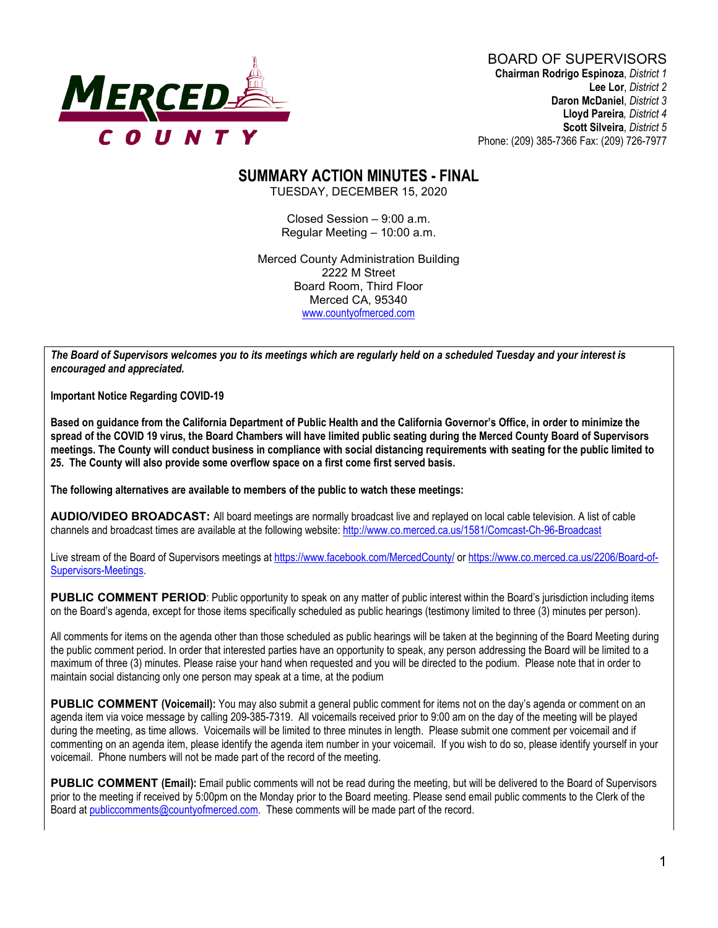

# **SUMMARY ACTION MINUTES - FINAL**

TUESDAY, DECEMBER 15, 2020

Closed Session – 9:00 a.m. Regular Meeting – 10:00 a.m.

Merced County Administration Building 2222 M Street Board Room, Third Floor Merced CA, 95340 www.countyofmerced.com

*The Board of Supervisors welcomes you to its meetings which are regularly held on a scheduled Tuesday and your interest is encouraged and appreciated.*

**Important Notice Regarding COVID-19**

**Based on guidance from the California Department of Public Health and the California Governor's Office, in order to minimize the spread of the COVID 19 virus, the Board Chambers will have limited public seating during the Merced County Board of Supervisors meetings. The County will conduct business in compliance with social distancing requirements with seating for the public limited to 25. The County will also provide some overflow space on a first come first served basis.**

**The following alternatives are available to members of the public to watch these meetings:**

**AUDIO/VIDEO BROADCAST:** All board meetings are normally broadcast live and replayed on local cable television. A list of cable channels and broadcast times are available at the following website[: http://www.co.merced.ca.us/1581/Comcast-Ch-96-Broadcast](http://www.co.merced.ca.us/1581/Comcast-Ch-96-Broadcast)

Live stream of the Board of Supervisors meetings at<https://www.facebook.com/MercedCounty/> o[r https://www.co.merced.ca.us/2206/Board-of-](https://www.co.merced.ca.us/2206/Board-of-Supervisors-Meetings)[Supervisors-Meetings.](https://www.co.merced.ca.us/2206/Board-of-Supervisors-Meetings)

PUBLIC COMMENT PERIOD: Public opportunity to speak on any matter of public interest within the Board's jurisdiction including items on the Board's agenda, except for those items specifically scheduled as public hearings (testimony limited to three (3) minutes per person).

All comments for items on the agenda other than those scheduled as public hearings will be taken at the beginning of the Board Meeting during the public comment period. In order that interested parties have an opportunity to speak, any person addressing the Board will be limited to a maximum of three (3) minutes. Please raise your hand when requested and you will be directed to the podium. Please note that in order to maintain social distancing only one person may speak at a time, at the podium

**PUBLIC COMMENT (Voicemail):** You may also submit a general public comment for items not on the day's agenda or comment on an agenda item via voice message by calling 209-385-7319. All voicemails received prior to 9:00 am on the day of the meeting will be played during the meeting, as time allows. Voicemails will be limited to three minutes in length. Please submit one comment per voicemail and if commenting on an agenda item, please identify the agenda item number in your voicemail. If you wish to do so, please identify yourself in your voicemail. Phone numbers will not be made part of the record of the meeting.

**PUBLIC COMMENT (Email):** Email public comments will not be read during the meeting, but will be delivered to the Board of Supervisors prior to the meeting if received by 5:00pm on the Monday prior to the Board meeting. Please send email public comments to the Clerk of the Board a[t publiccomments@countyofmerced.com.](mailto:publiccomments@countyofmerced.com) These comments will be made part of the record.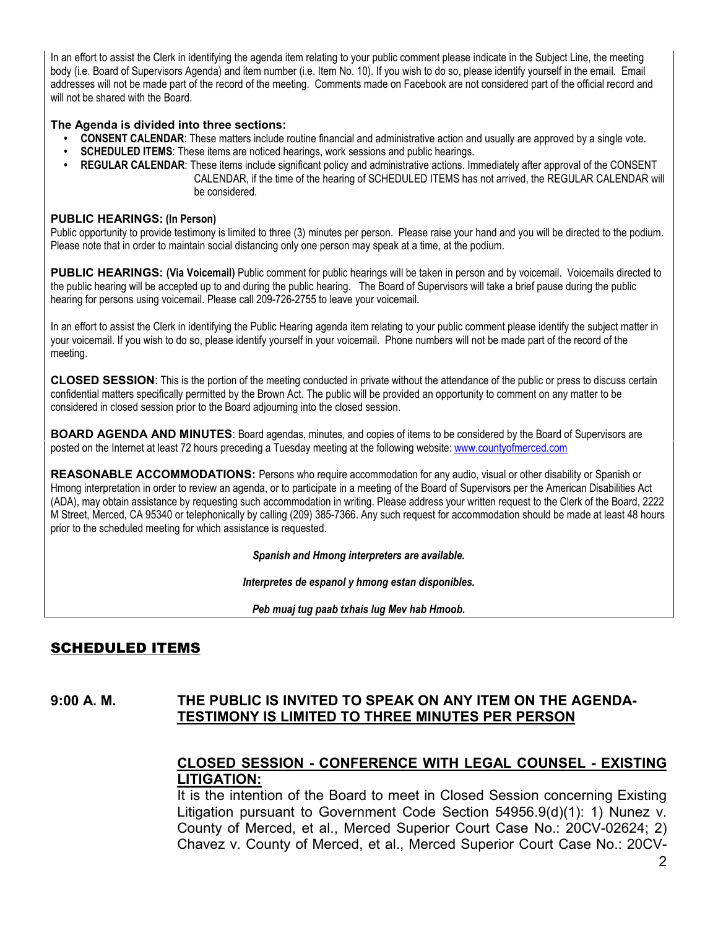In an effort to assist the Clerk in identifying the agenda item relating to your public comment please indicate in the Subject Line, the meeting body (i.e. Board of Supervisors Agenda) and item number (i.e. Item No. 10). If you wish to do so, please identify yourself in the email. Email addresses will not be made part of the record of the meeting. Comments made on Facebook are not considered part of the official record and will not be shared with the Board.

#### **The Agenda is divided into three sections:**

- **CONSENT CALENDAR**: These matters include routine financial and administrative action and usually are approved by a single vote.
- **SCHEDULED ITEMS**: These items are noticed hearings, work sessions and public hearings.
- **REGULAR CALENDAR**: These items include significant policy and administrative actions. Immediately after approval of the CONSENT CALENDAR, if the time of the hearing of SCHEDULED ITEMS has not arrived, the REGULAR CALENDAR will be considered.

#### **PUBLIC HEARINGS: (In Person)**

Public opportunity to provide testimony is limited to three (3) minutes per person. Please raise your hand and you will be directed to the podium. Please note that in order to maintain social distancing only one person may speak at a time, at the podium.

**PUBLIC HEARINGS: (Via Voicemail)** Public comment for public hearings will be taken in person and by voicemail. Voicemails directed to the public hearing will be accepted up to and during the public hearing. The Board of Supervisors will take a brief pause during the public hearing for persons using voicemail. Please call 209-726-2755 to leave your voicemail.

In an effort to assist the Clerk in identifying the Public Hearing agenda item relating to your public comment please identify the subject matter in your voicemail. If you wish to do so, please identify yourself in your voicemail. Phone numbers will not be made part of the record of the meeting.

**CLOSED SESSION**: This is the portion of the meeting conducted in private without the attendance of the public or press to discuss certain confidential matters specifically permitted by the Brown Act. The public will be provided an opportunity to comment on any matter to be considered in closed session prior to the Board adjourning into the closed session.

**BOARD AGENDA AND MINUTES:** Board agendas, minutes, and copies of items to be considered by the Board of Supervisors are posted on the Internet at least 72 hours preceding a Tuesday meeting at the following website: [www.countyofmerced.com](http://www.countyofmerced.com/) 

**REASONABLE ACCOMMODATIONS:** Persons who require accommodation for any audio, visual or other disability or Spanish or Hmong interpretation in order to review an agenda, or to participate in a meeting of the Board of Supervisors per the American Disabilities Act (ADA), may obtain assistance by requesting such accommodation in writing. Please address your written request to the Clerk of the Board, 2222 M Street, Merced, CA 95340 or telephonically by calling (209) 385-7366. Any such request for accommodation should be made at least 48 hours prior to the scheduled meeting for which assistance is requested.

*Spanish and Hmong interpreters are available.*

*Interpretes de espanol y hmong estan disponibles.*

*Peb muaj tug paab txhais lug Mev hab Hmoob.* 

# SCHEDULED ITEMS

#### **9:00 A. M. THE PUBLIC IS INVITED TO SPEAK ON ANY ITEM ON THE AGENDA-TESTIMONY IS LIMITED TO THREE MINUTES PER PERSON**

#### **CLOSED SESSION - CONFERENCE WITH LEGAL COUNSEL - EXISTING LITIGATION:**

It is the intention of the Board to meet in Closed Session concerning Existing Litigation pursuant to Government Code Section 54956.9(d)(1): 1) Nunez v. County of Merced, et al., Merced Superior Court Case No.: 20CV-02624; 2) Chavez v. County of Merced, et al., Merced Superior Court Case No.: 20CV-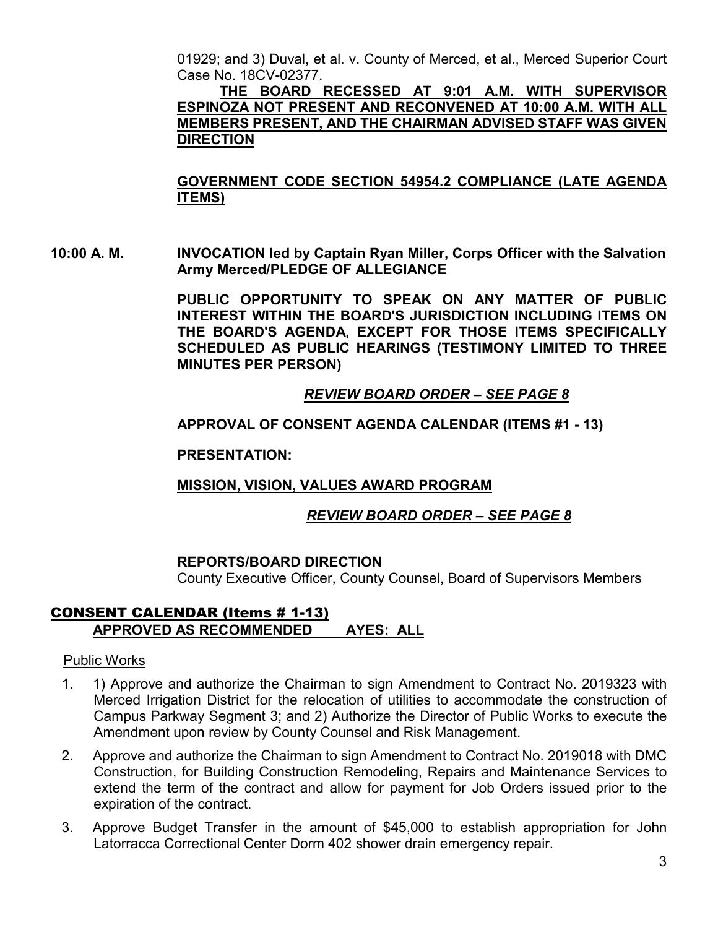01929; and 3) Duval, et al. v. County of Merced, et al., Merced Superior Court Case No. 18CV-02377.

**THE BOARD RECESSED AT 9:01 A.M. WITH SUPERVISOR ESPINOZA NOT PRESENT AND RECONVENED AT 10:00 A.M. WITH ALL MEMBERS PRESENT, AND THE CHAIRMAN ADVISED STAFF WAS GIVEN DIRECTION**

**GOVERNMENT CODE SECTION 54954.2 COMPLIANCE (LATE AGENDA ITEMS)**

**10:00 A. M. INVOCATION led by Captain Ryan Miller, Corps Officer with the Salvation Army Merced/PLEDGE OF ALLEGIANCE**

> **PUBLIC OPPORTUNITY TO SPEAK ON ANY MATTER OF PUBLIC INTEREST WITHIN THE BOARD'S JURISDICTION INCLUDING ITEMS ON THE BOARD'S AGENDA, EXCEPT FOR THOSE ITEMS SPECIFICALLY SCHEDULED AS PUBLIC HEARINGS (TESTIMONY LIMITED TO THREE MINUTES PER PERSON)**

# *REVIEW BOARD ORDER – SEE PAGE 8*

**APPROVAL OF CONSENT AGENDA CALENDAR (ITEMS #1 - 13)**

**PRESENTATION:**

# **MISSION, VISION, VALUES AWARD PROGRAM**

# *REVIEW BOARD ORDER – SEE PAGE 8*

# **REPORTS/BOARD DIRECTION**

County Executive Officer, County Counsel, Board of Supervisors Members

# CONSENT CALENDAR (Items # 1-13) **APPROVED AS RECOMMENDED AYES: ALL**

#### Public Works

- 1. 1) Approve and authorize the Chairman to sign Amendment to Contract No. 2019323 with Merced Irrigation District for the relocation of utilities to accommodate the construction of Campus Parkway Segment 3; and 2) Authorize the Director of Public Works to execute the Amendment upon review by County Counsel and Risk Management.
- 2. Approve and authorize the Chairman to sign Amendment to Contract No. 2019018 with DMC Construction, for Building Construction Remodeling, Repairs and Maintenance Services to extend the term of the contract and allow for payment for Job Orders issued prior to the expiration of the contract.
- 3. Approve Budget Transfer in the amount of \$45,000 to establish appropriation for John Latorracca Correctional Center Dorm 402 shower drain emergency repair.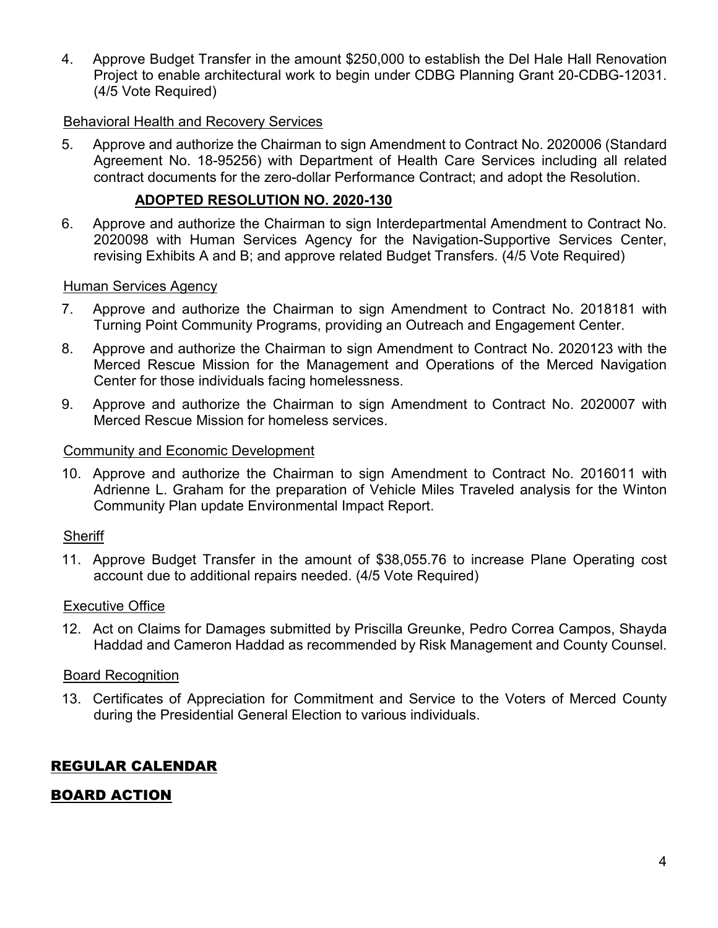4. Approve Budget Transfer in the amount \$250,000 to establish the Del Hale Hall Renovation Project to enable architectural work to begin under CDBG Planning Grant 20-CDBG-12031. (4/5 Vote Required)

#### Behavioral Health and Recovery Services

5. Approve and authorize the Chairman to sign Amendment to Contract No. 2020006 (Standard Agreement No. 18-95256) with Department of Health Care Services including all related contract documents for the zero-dollar Performance Contract; and adopt the Resolution.

#### **ADOPTED RESOLUTION NO. 2020-130**

6. Approve and authorize the Chairman to sign Interdepartmental Amendment to Contract No. 2020098 with Human Services Agency for the Navigation-Supportive Services Center, revising Exhibits A and B; and approve related Budget Transfers. (4/5 Vote Required)

#### Human Services Agency

- 7. Approve and authorize the Chairman to sign Amendment to Contract No. 2018181 with Turning Point Community Programs, providing an Outreach and Engagement Center.
- 8. Approve and authorize the Chairman to sign Amendment to Contract No. 2020123 with the Merced Rescue Mission for the Management and Operations of the Merced Navigation Center for those individuals facing homelessness.
- 9. Approve and authorize the Chairman to sign Amendment to Contract No. 2020007 with Merced Rescue Mission for homeless services.

#### Community and Economic Development

10. Approve and authorize the Chairman to sign Amendment to Contract No. 2016011 with Adrienne L. Graham for the preparation of Vehicle Miles Traveled analysis for the Winton Community Plan update Environmental Impact Report.

#### **Sheriff**

11. Approve Budget Transfer in the amount of \$38,055.76 to increase Plane Operating cost account due to additional repairs needed. (4/5 Vote Required)

#### Executive Office

12. Act on Claims for Damages submitted by Priscilla Greunke, Pedro Correa Campos, Shayda Haddad and Cameron Haddad as recommended by Risk Management and County Counsel.

#### Board Recognition

13. Certificates of Appreciation for Commitment and Service to the Voters of Merced County during the Presidential General Election to various individuals.

# REGULAR CALENDAR

# BOARD ACTION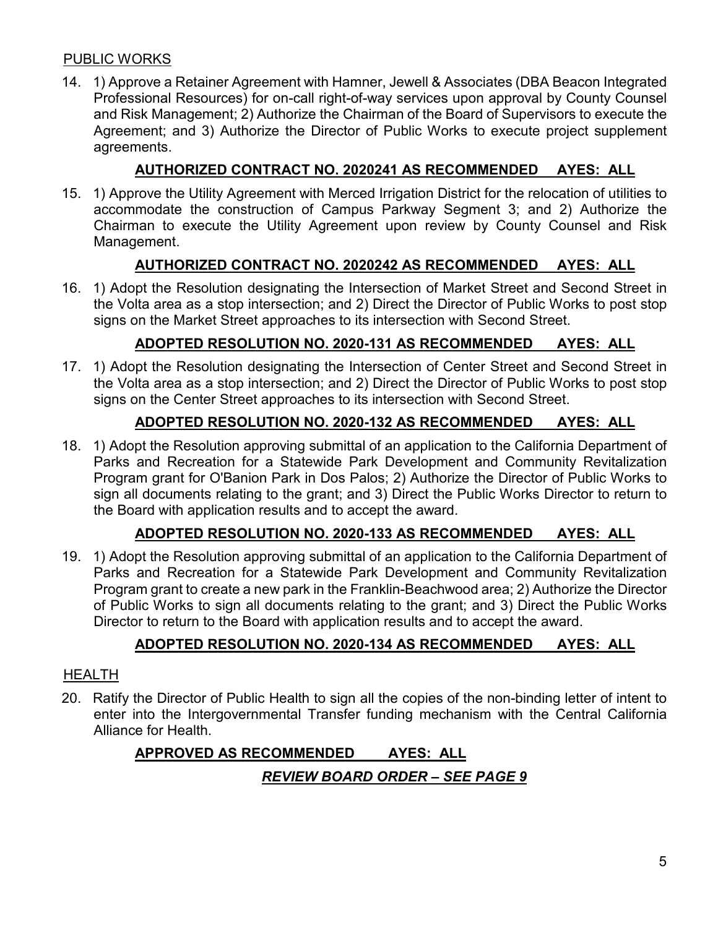#### PUBLIC WORKS

14. 1) Approve a Retainer Agreement with Hamner, Jewell & Associates (DBA Beacon Integrated Professional Resources) for on-call right-of-way services upon approval by County Counsel and Risk Management; 2) Authorize the Chairman of the Board of Supervisors to execute the Agreement; and 3) Authorize the Director of Public Works to execute project supplement agreements.

# **AUTHORIZED CONTRACT NO. 2020241 AS RECOMMENDED AYES: ALL**

15. 1) Approve the Utility Agreement with Merced Irrigation District for the relocation of utilities to accommodate the construction of Campus Parkway Segment 3; and 2) Authorize the Chairman to execute the Utility Agreement upon review by County Counsel and Risk Management.

# **AUTHORIZED CONTRACT NO. 2020242 AS RECOMMENDED AYES: ALL**

16. 1) Adopt the Resolution designating the Intersection of Market Street and Second Street in the Volta area as a stop intersection; and 2) Direct the Director of Public Works to post stop signs on the Market Street approaches to its intersection with Second Street.

# **ADOPTED RESOLUTION NO. 2020-131 AS RECOMMENDED AYES: ALL**

17. 1) Adopt the Resolution designating the Intersection of Center Street and Second Street in the Volta area as a stop intersection; and 2) Direct the Director of Public Works to post stop signs on the Center Street approaches to its intersection with Second Street.

# **ADOPTED RESOLUTION NO. 2020-132 AS RECOMMENDED AYES: ALL**

18. 1) Adopt the Resolution approving submittal of an application to the California Department of Parks and Recreation for a Statewide Park Development and Community Revitalization Program grant for O'Banion Park in Dos Palos; 2) Authorize the Director of Public Works to sign all documents relating to the grant; and 3) Direct the Public Works Director to return to the Board with application results and to accept the award.

# **ADOPTED RESOLUTION NO. 2020-133 AS RECOMMENDED AYES: ALL**

19. 1) Adopt the Resolution approving submittal of an application to the California Department of Parks and Recreation for a Statewide Park Development and Community Revitalization Program grant to create a new park in the Franklin-Beachwood area; 2) Authorize the Director of Public Works to sign all documents relating to the grant; and 3) Direct the Public Works Director to return to the Board with application results and to accept the award.

# **ADOPTED RESOLUTION NO. 2020-134 AS RECOMMENDED AYES: ALL**

#### HEALTH

20. Ratify the Director of Public Health to sign all the copies of the non-binding letter of intent to enter into the Intergovernmental Transfer funding mechanism with the Central California Alliance for Health.

# **APPROVED AS RECOMMENDED AYES: ALL** *REVIEW BOARD ORDER – SEE PAGE 9*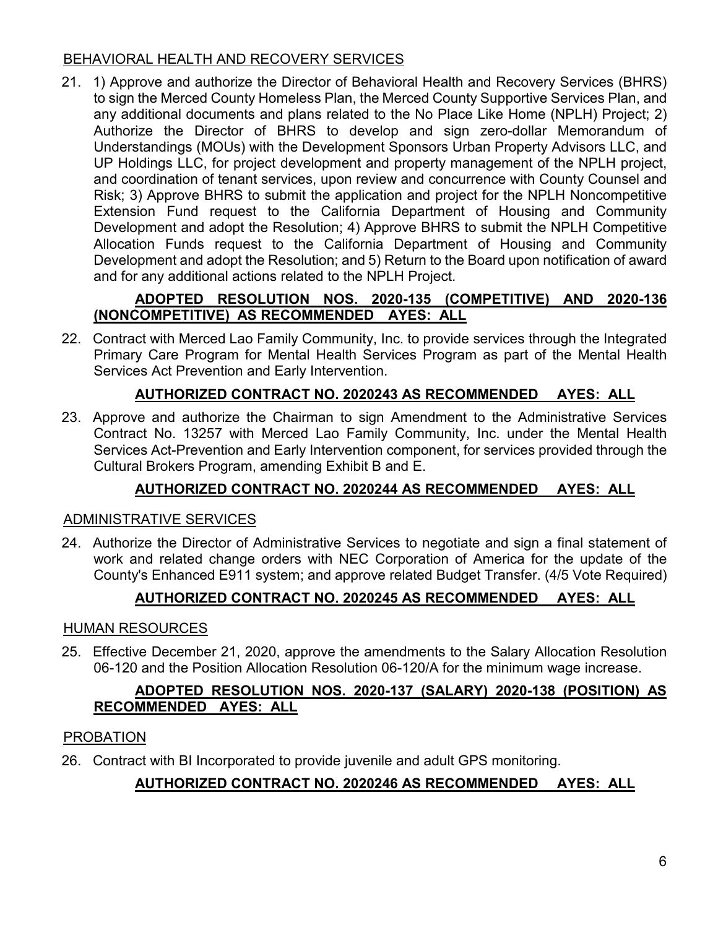# BEHAVIORAL HEALTH AND RECOVERY SERVICES

21. 1) Approve and authorize the Director of Behavioral Health and Recovery Services (BHRS) to sign the Merced County Homeless Plan, the Merced County Supportive Services Plan, and any additional documents and plans related to the No Place Like Home (NPLH) Project; 2) Authorize the Director of BHRS to develop and sign zero-dollar Memorandum of Understandings (MOUs) with the Development Sponsors Urban Property Advisors LLC, and UP Holdings LLC, for project development and property management of the NPLH project, and coordination of tenant services, upon review and concurrence with County Counsel and Risk; 3) Approve BHRS to submit the application and project for the NPLH Noncompetitive Extension Fund request to the California Department of Housing and Community Development and adopt the Resolution; 4) Approve BHRS to submit the NPLH Competitive Allocation Funds request to the California Department of Housing and Community Development and adopt the Resolution; and 5) Return to the Board upon notification of award and for any additional actions related to the NPLH Project.

# **ADOPTED RESOLUTION NOS. 2020-135 (COMPETITIVE) AND 2020-136 (NONCOMPETITIVE) AS RECOMMENDED AYES: ALL**

22. Contract with Merced Lao Family Community, Inc. to provide services through the Integrated Primary Care Program for Mental Health Services Program as part of the Mental Health Services Act Prevention and Early Intervention.

# **AUTHORIZED CONTRACT NO. 2020243 AS RECOMMENDED AYES: ALL**

23. Approve and authorize the Chairman to sign Amendment to the Administrative Services Contract No. 13257 with Merced Lao Family Community, Inc. under the Mental Health Services Act-Prevention and Early Intervention component, for services provided through the Cultural Brokers Program, amending Exhibit B and E.

# **AUTHORIZED CONTRACT NO. 2020244 AS RECOMMENDED AYES: ALL**

# ADMINISTRATIVE SERVICES

24. Authorize the Director of Administrative Services to negotiate and sign a final statement of work and related change orders with NEC Corporation of America for the update of the County's Enhanced E911 system; and approve related Budget Transfer. (4/5 Vote Required)

# **AUTHORIZED CONTRACT NO. 2020245 AS RECOMMENDED AYES: ALL**

# HUMAN RESOURCES

25. Effective December 21, 2020, approve the amendments to the Salary Allocation Resolution 06-120 and the Position Allocation Resolution 06-120/A for the minimum wage increase.

#### **ADOPTED RESOLUTION NOS. 2020-137 (SALARY) 2020-138 (POSITION) AS RECOMMENDED AYES: ALL**

# PROBATION

26. Contract with BI Incorporated to provide juvenile and adult GPS monitoring.

# **AUTHORIZED CONTRACT NO. 2020246 AS RECOMMENDED AYES: ALL**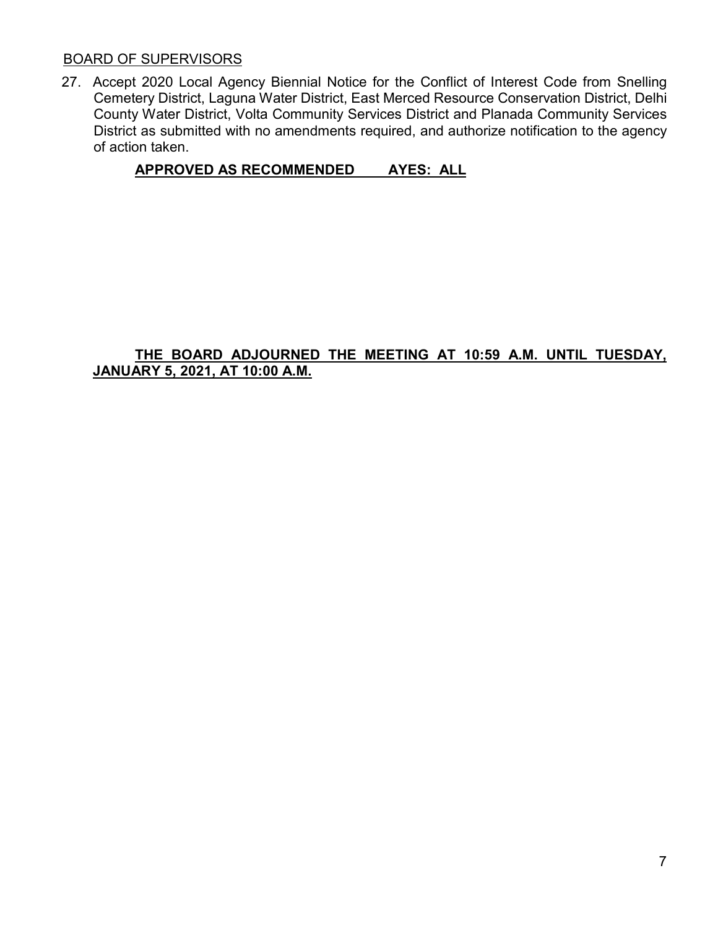#### BOARD OF SUPERVISORS

27. Accept 2020 Local Agency Biennial Notice for the Conflict of Interest Code from Snelling Cemetery District, Laguna Water District, East Merced Resource Conservation District, Delhi County Water District, Volta Community Services District and Planada Community Services District as submitted with no amendments required, and authorize notification to the agency of action taken.

# **APPROVED AS RECOMMENDED AYES: ALL**

#### **THE BOARD ADJOURNED THE MEETING AT 10:59 A.M. UNTIL TUESDAY, JANUARY 5, 2021, AT 10:00 A.M.**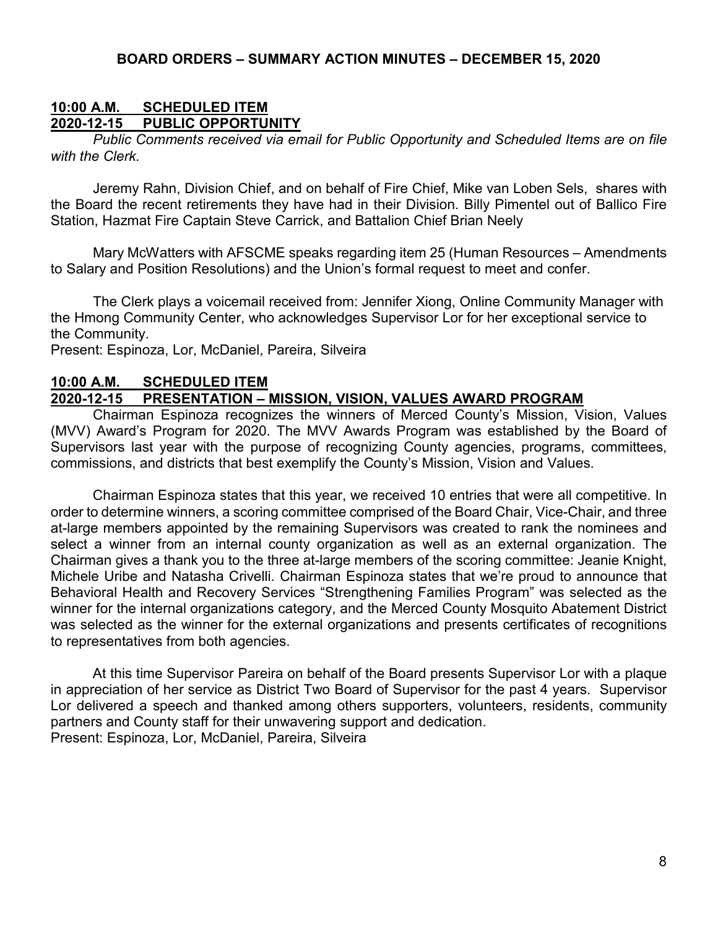#### **10:00 A.M. SCHEDULED ITEM 2020-12-15 PUBLIC OPPORTUNITY**

*Public Comments received via email for Public Opportunity and Scheduled Items are on file with the Clerk.*

Jeremy Rahn, Division Chief, and on behalf of Fire Chief, Mike van Loben Sels, shares with the Board the recent retirements they have had in their Division. Billy Pimentel out of Ballico Fire Station, Hazmat Fire Captain Steve Carrick, and Battalion Chief Brian Neely

Mary McWatters with AFSCME speaks regarding item 25 (Human Resources – Amendments to Salary and Position Resolutions) and the Union's formal request to meet and confer.

The Clerk plays a voicemail received from: Jennifer Xiong, Online Community Manager with the Hmong Community Center, who acknowledges Supervisor Lor for her exceptional service to the Community.

Present: Espinoza, Lor, McDaniel, Pareira, Silveira

#### **10:00 A.M. SCHEDULED ITEM 2020-12-15 PRESENTATION – MISSION, VISION, VALUES AWARD PROGRAM**

Chairman Espinoza recognizes the winners of Merced County's Mission, Vision, Values (MVV) Award's Program for 2020. The MVV Awards Program was established by the Board of Supervisors last year with the purpose of recognizing County agencies, programs, committees, commissions, and districts that best exemplify the County's Mission, Vision and Values.

Chairman Espinoza states that this year, we received 10 entries that were all competitive. In order to determine winners, a scoring committee comprised of the Board Chair, Vice-Chair, and three at-large members appointed by the remaining Supervisors was created to rank the nominees and select a winner from an internal county organization as well as an external organization. The Chairman gives a thank you to the three at-large members of the scoring committee: Jeanie Knight, Michele Uribe and Natasha Crivelli. Chairman Espinoza states that we're proud to announce that Behavioral Health and Recovery Services "Strengthening Families Program" was selected as the winner for the internal organizations category, and the Merced County Mosquito Abatement District was selected as the winner for the external organizations and presents certificates of recognitions to representatives from both agencies.

At this time Supervisor Pareira on behalf of the Board presents Supervisor Lor with a plaque in appreciation of her service as District Two Board of Supervisor for the past 4 years. Supervisor Lor delivered a speech and thanked among others supporters, volunteers, residents, community partners and County staff for their unwavering support and dedication. Present: Espinoza, Lor, McDaniel, Pareira, Silveira